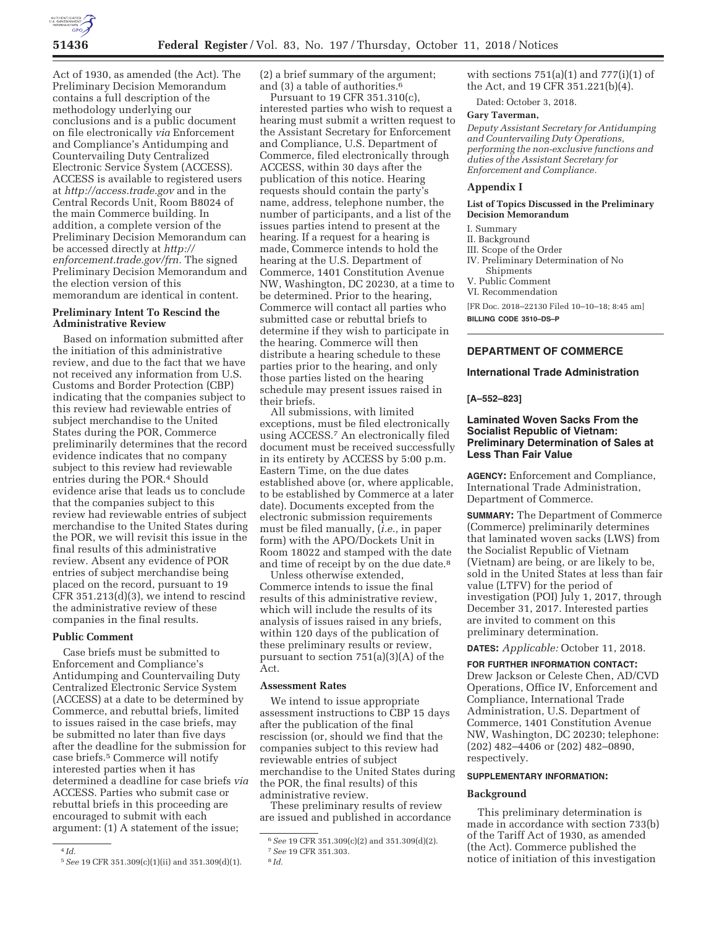

Act of 1930, as amended (the Act). The Preliminary Decision Memorandum contains a full description of the methodology underlying our conclusions and is a public document on file electronically *via* Enforcement and Compliance's Antidumping and Countervailing Duty Centralized Electronic Service System (ACCESS). ACCESS is available to registered users at *http://access.trade.gov* and in the Central Records Unit, Room B8024 of the main Commerce building. In addition, a complete version of the Preliminary Decision Memorandum can be accessed directly at *http:// enforcement.trade.gov/frn.* The signed Preliminary Decision Memorandum and the election version of this memorandum are identical in content.

## **Preliminary Intent To Rescind the Administrative Review**

Based on information submitted after the initiation of this administrative review, and due to the fact that we have not received any information from U.S. Customs and Border Protection (CBP) indicating that the companies subject to this review had reviewable entries of subject merchandise to the United States during the POR, Commerce preliminarily determines that the record evidence indicates that no company subject to this review had reviewable entries during the POR.4 Should evidence arise that leads us to conclude that the companies subject to this review had reviewable entries of subject merchandise to the United States during the POR, we will revisit this issue in the final results of this administrative review. Absent any evidence of POR entries of subject merchandise being placed on the record, pursuant to 19 CFR 351.213(d)(3), we intend to rescind the administrative review of these companies in the final results.

## **Public Comment**

Case briefs must be submitted to Enforcement and Compliance's Antidumping and Countervailing Duty Centralized Electronic Service System (ACCESS) at a date to be determined by Commerce, and rebuttal briefs, limited to issues raised in the case briefs, may be submitted no later than five days after the deadline for the submission for case briefs.5 Commerce will notify interested parties when it has determined a deadline for case briefs *via*  ACCESS. Parties who submit case or rebuttal briefs in this proceeding are encouraged to submit with each argument: (1) A statement of the issue;

(2) a brief summary of the argument; and (3) a table of authorities.6

Pursuant to 19 CFR 351.310(c), interested parties who wish to request a hearing must submit a written request to the Assistant Secretary for Enforcement and Compliance, U.S. Department of Commerce, filed electronically through ACCESS, within 30 days after the publication of this notice. Hearing requests should contain the party's name, address, telephone number, the number of participants, and a list of the issues parties intend to present at the hearing. If a request for a hearing is made, Commerce intends to hold the hearing at the U.S. Department of Commerce, 1401 Constitution Avenue NW, Washington, DC 20230, at a time to be determined. Prior to the hearing, Commerce will contact all parties who submitted case or rebuttal briefs to determine if they wish to participate in the hearing. Commerce will then distribute a hearing schedule to these parties prior to the hearing, and only those parties listed on the hearing schedule may present issues raised in their briefs.

All submissions, with limited exceptions, must be filed electronically using ACCESS.7 An electronically filed document must be received successfully in its entirety by ACCESS by 5:00 p.m. Eastern Time, on the due dates established above (or, where applicable, to be established by Commerce at a later date). Documents excepted from the electronic submission requirements must be filed manually, (*i.e.,* in paper form) with the APO/Dockets Unit in Room 18022 and stamped with the date and time of receipt by on the due date.<sup>8</sup>

Unless otherwise extended, Commerce intends to issue the final results of this administrative review, which will include the results of its analysis of issues raised in any briefs, within 120 days of the publication of these preliminary results or review, pursuant to section 751(a)(3)(A) of the Act.

## **Assessment Rates**

We intend to issue appropriate assessment instructions to CBP 15 days after the publication of the final rescission (or, should we find that the companies subject to this review had reviewable entries of subject merchandise to the United States during the POR, the final results) of this administrative review.

These preliminary results of review are issued and published in accordance with sections  $751(a)(1)$  and  $777(i)(1)$  of the Act, and 19 CFR 351.221(b)(4).

Dated: October 3, 2018.

## **Gary Taverman,**

*Deputy Assistant Secretary for Antidumping and Countervailing Duty Operations, performing the non-exclusive functions and duties of the Assistant Secretary for Enforcement and Compliance.* 

#### **Appendix I**

## **List of Topics Discussed in the Preliminary Decision Memorandum**

## I. Summary

II. Background

III. Scope of the Order

IV. Preliminary Determination of No Shipments

V. Public Comment

VI. Recommendation

[FR Doc. 2018–22130 Filed 10–10–18; 8:45 am]

**BILLING CODE 3510–DS–P** 

## **DEPARTMENT OF COMMERCE**

# **International Trade Administration**

### **[A–552–823]**

## **Laminated Woven Sacks From the Socialist Republic of Vietnam: Preliminary Determination of Sales at Less Than Fair Value**

**AGENCY:** Enforcement and Compliance, International Trade Administration, Department of Commerce.

**SUMMARY:** The Department of Commerce (Commerce) preliminarily determines that laminated woven sacks (LWS) from the Socialist Republic of Vietnam (Vietnam) are being, or are likely to be, sold in the United States at less than fair value (LTFV) for the period of investigation (POI) July 1, 2017, through December 31, 2017. Interested parties are invited to comment on this preliminary determination.

## **DATES:** *Applicable:* October 11, 2018.

**FOR FURTHER INFORMATION CONTACT:**  Drew Jackson or Celeste Chen, AD/CVD Operations, Office IV, Enforcement and Compliance, International Trade Administration, U.S. Department of Commerce, 1401 Constitution Avenue NW, Washington, DC 20230; telephone: (202) 482–4406 or (202) 482–0890, respectively.

### **SUPPLEMENTARY INFORMATION:**

#### **Background**

This preliminary determination is made in accordance with section 733(b) of the Tariff Act of 1930, as amended (the Act). Commerce published the notice of initiation of this investigation

<sup>4</sup> *Id.* 

<sup>5</sup>*See* 19 CFR 351.309(c)(1)(ii) and 351.309(d)(1).

<sup>6</sup>*See* 19 CFR 351.309(c)(2) and 351.309(d)(2). 7*See* 19 CFR 351.303.

<sup>8</sup> *Id.*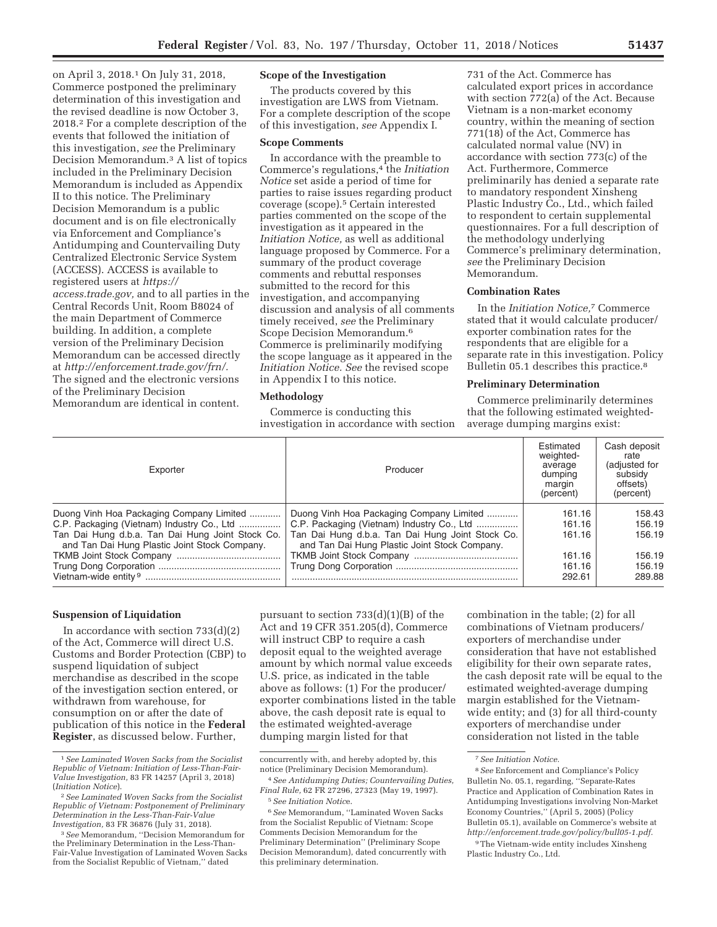on April 3, 2018.1 On July 31, 2018, Commerce postponed the preliminary determination of this investigation and the revised deadline is now October 3, 2018.2 For a complete description of the events that followed the initiation of this investigation, *see* the Preliminary Decision Memorandum.3 A list of topics included in the Preliminary Decision Memorandum is included as Appendix II to this notice. The Preliminary Decision Memorandum is a public document and is on file electronically via Enforcement and Compliance's Antidumping and Countervailing Duty Centralized Electronic Service System (ACCESS). ACCESS is available to registered users at *https:// access.trade.gov,* and to all parties in the Central Records Unit, Room B8024 of the main Department of Commerce building. In addition, a complete version of the Preliminary Decision Memorandum can be accessed directly at *http://enforcement.trade.gov/frn/.*  The signed and the electronic versions of the Preliminary Decision Memorandum are identical in content.

# **Scope of the Investigation**

The products covered by this investigation are LWS from Vietnam. For a complete description of the scope of this investigation, *see* Appendix I.

## **Scope Comments**

In accordance with the preamble to Commerce's regulations,<sup>4</sup> the *Initiation Notice* set aside a period of time for parties to raise issues regarding product coverage (scope).5 Certain interested parties commented on the scope of the investigation as it appeared in the *Initiation Notice,* as well as additional language proposed by Commerce. For a summary of the product coverage comments and rebuttal responses submitted to the record for this investigation, and accompanying discussion and analysis of all comments timely received, *see* the Preliminary Scope Decision Memorandum.6 Commerce is preliminarily modifying the scope language as it appeared in the *Initiation Notice. See* the revised scope in Appendix I to this notice.

#### **Methodology**

Commerce is conducting this investigation in accordance with section

731 of the Act. Commerce has calculated export prices in accordance with section 772(a) of the Act. Because Vietnam is a non-market economy country, within the meaning of section 771(18) of the Act, Commerce has calculated normal value (NV) in accordance with section 773(c) of the Act. Furthermore, Commerce preliminarily has denied a separate rate to mandatory respondent Xinsheng Plastic Industry Co., Ltd., which failed to respondent to certain supplemental questionnaires. For a full description of the methodology underlying Commerce's preliminary determination, *see* the Preliminary Decision Memorandum.

### **Combination Rates**

In the *Initiation Notice,*7 Commerce stated that it would calculate producer/ exporter combination rates for the respondents that are eligible for a separate rate in this investigation. Policy Bulletin 05.1 describes this practice.8

## **Preliminary Determination**

Commerce preliminarily determines that the following estimated weightedaverage dumping margins exist:

| Exporter                                                                                          | Producer                                                                                          | Estimated<br>weighted-<br>average<br>dumping<br>margin<br>(percent) | Cash deposit<br>rate<br>(adjusted for<br>subsidy<br>offsets)<br>(percent) |
|---------------------------------------------------------------------------------------------------|---------------------------------------------------------------------------------------------------|---------------------------------------------------------------------|---------------------------------------------------------------------------|
| Duong Vinh Hoa Packaging Company Limited                                                          | Duong Vinh Hoa Packaging Company Limited                                                          | 161.16                                                              | 158.43                                                                    |
| C.P. Packaging (Vietnam) Industry Co., Ltd                                                        | C.P. Packaging (Vietnam) Industry Co., Ltd                                                        | 161.16                                                              | 156.19                                                                    |
| Tan Dai Hung d.b.a. Tan Dai Hung Joint Stock Co.<br>and Tan Dai Hung Plastic Joint Stock Company. | Tan Dai Hung d.b.a. Tan Dai Hung Joint Stock Co.<br>and Tan Dai Hung Plastic Joint Stock Company. | 161.16                                                              | 156.19                                                                    |
|                                                                                                   |                                                                                                   | 161.16                                                              | 156.19                                                                    |
|                                                                                                   |                                                                                                   | 161.16                                                              | 156.19                                                                    |
|                                                                                                   |                                                                                                   | 292.61                                                              | 289.88                                                                    |

## **Suspension of Liquidation**

In accordance with section  $733(d)(2)$ of the Act, Commerce will direct U.S. Customs and Border Protection (CBP) to suspend liquidation of subject merchandise as described in the scope of the investigation section entered, or withdrawn from warehouse, for consumption on or after the date of publication of this notice in the **Federal Register**, as discussed below. Further,

pursuant to section 733(d)(1)(B) of the Act and 19 CFR 351.205(d), Commerce will instruct CBP to require a cash deposit equal to the weighted average amount by which normal value exceeds U.S. price, as indicated in the table above as follows: (1) For the producer/ exporter combinations listed in the table above, the cash deposit rate is equal to the estimated weighted-average dumping margin listed for that

combination in the table; (2) for all combinations of Vietnam producers/ exporters of merchandise under consideration that have not established eligibility for their own separate rates, the cash deposit rate will be equal to the estimated weighted-average dumping margin established for the Vietnamwide entity; and (3) for all third-county exporters of merchandise under consideration not listed in the table

<sup>1</sup>*See Laminated Woven Sacks from the Socialist Republic of Vietnam: Initiation of Less-Than-Fair-Value Investigation,* 83 FR 14257 (April 3, 2018)

<sup>(</sup>*Initiation Notice*). 2*See Laminated Woven Sacks from the Socialist Republic of Vietnam: Postponement of Preliminary Determination in the Less-Than-Fair-Value* 

<sup>&</sup>lt;sup>3</sup> See Memorandum, "Decision Memorandum for the Preliminary Determination in the Less-Than-Fair-Value Investigation of Laminated Woven Sacks from the Socialist Republic of Vietnam,'' dated

concurrently with, and hereby adopted by, this notice (Preliminary Decision Memorandum).

<sup>4</sup>*See Antidumping Duties; Countervailing Duties, Final Rule,* 62 FR 27296, 27323 (May 19, 1997). 5*See Initiation Notic*e.

<sup>6</sup>*See* Memorandum, ''Laminated Woven Sacks from the Socialist Republic of Vietnam: Scope Comments Decision Memorandum for the Preliminary Determination'' (Preliminary Scope Decision Memorandum), dated concurrently with this preliminary determination.

<sup>7</sup>*See Initiation Notice.* 

<sup>8</sup>*See* Enforcement and Compliance's Policy Bulletin No. 05.1, regarding, ''Separate-Rates Practice and Application of Combination Rates in Antidumping Investigations involving Non-Market Economy Countries,'' (April 5, 2005) (Policy Bulletin 05.1), available on Commerce's website at *http://enforcement.trade.gov/policy/bull05-1.pdf.* 

<sup>9</sup>The Vietnam-wide entity includes Xinsheng Plastic Industry Co., Ltd.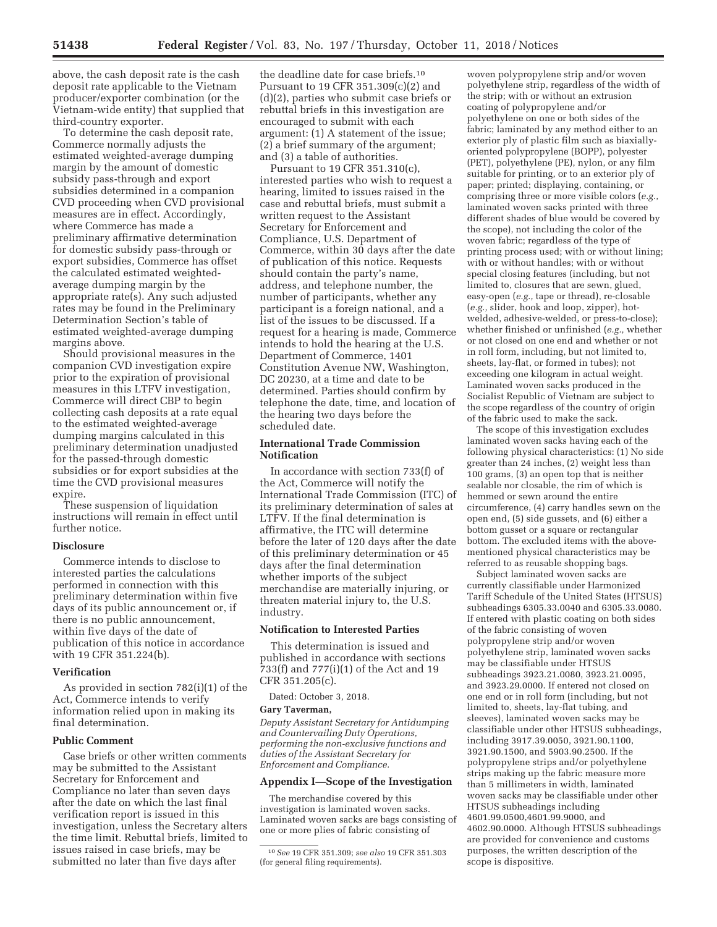above, the cash deposit rate is the cash deposit rate applicable to the Vietnam producer/exporter combination (or the Vietnam-wide entity) that supplied that third-country exporter.

To determine the cash deposit rate, Commerce normally adjusts the estimated weighted-average dumping margin by the amount of domestic subsidy pass-through and export subsidies determined in a companion CVD proceeding when CVD provisional measures are in effect. Accordingly, where Commerce has made a preliminary affirmative determination for domestic subsidy pass-through or export subsidies, Commerce has offset the calculated estimated weightedaverage dumping margin by the appropriate rate(s). Any such adjusted rates may be found in the Preliminary Determination Section's table of estimated weighted-average dumping margins above.

Should provisional measures in the companion CVD investigation expire prior to the expiration of provisional measures in this LTFV investigation, Commerce will direct CBP to begin collecting cash deposits at a rate equal to the estimated weighted-average dumping margins calculated in this preliminary determination unadjusted for the passed-through domestic subsidies or for export subsidies at the time the CVD provisional measures expire.

These suspension of liquidation instructions will remain in effect until further notice.

### **Disclosure**

Commerce intends to disclose to interested parties the calculations performed in connection with this preliminary determination within five days of its public announcement or, if there is no public announcement, within five days of the date of publication of this notice in accordance with 19 CFR 351.224(b).

#### **Verification**

As provided in section 782(i)(1) of the Act, Commerce intends to verify information relied upon in making its final determination.

## **Public Comment**

Case briefs or other written comments may be submitted to the Assistant Secretary for Enforcement and Compliance no later than seven days after the date on which the last final verification report is issued in this investigation, unless the Secretary alters the time limit. Rebuttal briefs, limited to issues raised in case briefs, may be submitted no later than five days after

the deadline date for case briefs.10 Pursuant to 19 CFR 351.309(c)(2) and (d)(2), parties who submit case briefs or rebuttal briefs in this investigation are encouraged to submit with each argument: (1) A statement of the issue; (2) a brief summary of the argument; and (3) a table of authorities.

Pursuant to 19 CFR 351.310(c), interested parties who wish to request a hearing, limited to issues raised in the case and rebuttal briefs, must submit a written request to the Assistant Secretary for Enforcement and Compliance, U.S. Department of Commerce, within 30 days after the date of publication of this notice. Requests should contain the party's name, address, and telephone number, the number of participants, whether any participant is a foreign national, and a list of the issues to be discussed. If a request for a hearing is made, Commerce intends to hold the hearing at the U.S. Department of Commerce, 1401 Constitution Avenue NW, Washington, DC 20230, at a time and date to be determined. Parties should confirm by telephone the date, time, and location of the hearing two days before the scheduled date.

## **International Trade Commission Notification**

In accordance with section 733(f) of the Act, Commerce will notify the International Trade Commission (ITC) of its preliminary determination of sales at LTFV. If the final determination is affirmative, the ITC will determine before the later of 120 days after the date of this preliminary determination or 45 days after the final determination whether imports of the subject merchandise are materially injuring, or threaten material injury to, the U.S. industry.

## **Notification to Interested Parties**

This determination is issued and published in accordance with sections 733(f) and 777(i)(1) of the Act and 19 CFR 351.205(c).

Dated: October 3, 2018.

#### **Gary Taverman,**

*Deputy Assistant Secretary for Antidumping and Countervailing Duty Operations, performing the non-exclusive functions and duties of the Assistant Secretary for Enforcement and Compliance.* 

### **Appendix I—Scope of the Investigation**

The merchandise covered by this investigation is laminated woven sacks. Laminated woven sacks are bags consisting of one or more plies of fabric consisting of

woven polypropylene strip and/or woven polyethylene strip, regardless of the width of the strip; with or without an extrusion coating of polypropylene and/or polyethylene on one or both sides of the fabric; laminated by any method either to an exterior ply of plastic film such as biaxiallyoriented polypropylene (BOPP), polyester (PET), polyethylene (PE), nylon, or any film suitable for printing, or to an exterior ply of paper; printed; displaying, containing, or comprising three or more visible colors (*e.g.,*  laminated woven sacks printed with three different shades of blue would be covered by the scope), not including the color of the woven fabric; regardless of the type of printing process used; with or without lining; with or without handles; with or without special closing features (including, but not limited to, closures that are sewn, glued, easy-open (*e.g.,* tape or thread), re-closable (*e.g.,* slider, hook and loop, zipper), hotwelded, adhesive-welded, or press-to-close); whether finished or unfinished (*e.g.,* whether or not closed on one end and whether or not in roll form, including, but not limited to, sheets, lay-flat, or formed in tubes); not exceeding one kilogram in actual weight. Laminated woven sacks produced in the Socialist Republic of Vietnam are subject to the scope regardless of the country of origin of the fabric used to make the sack.

The scope of this investigation excludes laminated woven sacks having each of the following physical characteristics: (1) No side greater than 24 inches, (2) weight less than 100 grams, (3) an open top that is neither sealable nor closable, the rim of which is hemmed or sewn around the entire circumference, (4) carry handles sewn on the open end, (5) side gussets, and (6) either a bottom gusset or a square or rectangular bottom. The excluded items with the abovementioned physical characteristics may be referred to as reusable shopping bags.

Subject laminated woven sacks are currently classifiable under Harmonized Tariff Schedule of the United States (HTSUS) subheadings 6305.33.0040 and 6305.33.0080. If entered with plastic coating on both sides of the fabric consisting of woven polypropylene strip and/or woven polyethylene strip, laminated woven sacks may be classifiable under HTSUS subheadings 3923.21.0080, 3923.21.0095, and 3923.29.0000. If entered not closed on one end or in roll form (including, but not limited to, sheets, lay-flat tubing, and sleeves), laminated woven sacks may be classifiable under other HTSUS subheadings, including 3917.39.0050, 3921.90.1100, 3921.90.1500, and 5903.90.2500. If the polypropylene strips and/or polyethylene strips making up the fabric measure more than 5 millimeters in width, laminated woven sacks may be classifiable under other HTSUS subheadings including 4601.99.0500,4601.99.9000, and 4602.90.0000. Although HTSUS subheadings are provided for convenience and customs purposes, the written description of the scope is dispositive.

<sup>10</sup>*See* 19 CFR 351.309; *see also* 19 CFR 351.303 (for general filing requirements).